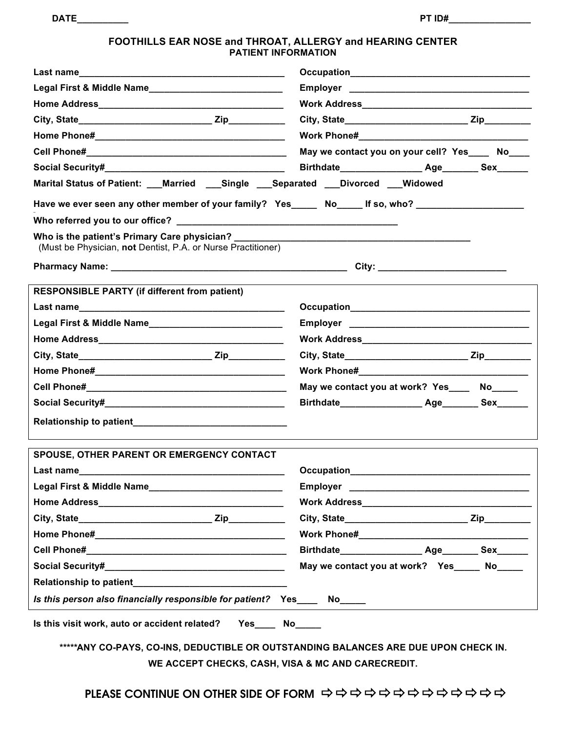| <b>DATE</b><br>. | PT ID# |  |
|------------------|--------|--|
|                  |        |  |

### **FOOTHILLS EAR NOSE and THROAT, ALLERGY and HEARING CENTER PATIENT INFORMATION**

|                                                                                                                                                                                                                                      | May we contact you on your cell? Yes No      |  |  |  |  |  |  |  |  |  |
|--------------------------------------------------------------------------------------------------------------------------------------------------------------------------------------------------------------------------------------|----------------------------------------------|--|--|--|--|--|--|--|--|--|
|                                                                                                                                                                                                                                      |                                              |  |  |  |  |  |  |  |  |  |
| Marital Status of Patient: ___Married ___Single ___Separated ___Divorced ___Widowed                                                                                                                                                  |                                              |  |  |  |  |  |  |  |  |  |
| Have we ever seen any other member of your family? Yes_____ No____ If so, who? ____________________                                                                                                                                  |                                              |  |  |  |  |  |  |  |  |  |
|                                                                                                                                                                                                                                      |                                              |  |  |  |  |  |  |  |  |  |
| (Must be Physician, not Dentist, P.A. or Nurse Practitioner)                                                                                                                                                                         |                                              |  |  |  |  |  |  |  |  |  |
| Pharmacy Name: <u>Discussion and the contract of the contract of the contract of the contract of the contract of the contract of the contract of the contract of the contract of the contract of the contract of the contract of</u> |                                              |  |  |  |  |  |  |  |  |  |
| <b>RESPONSIBLE PARTY (if different from patient)</b>                                                                                                                                                                                 |                                              |  |  |  |  |  |  |  |  |  |
|                                                                                                                                                                                                                                      |                                              |  |  |  |  |  |  |  |  |  |
|                                                                                                                                                                                                                                      |                                              |  |  |  |  |  |  |  |  |  |
|                                                                                                                                                                                                                                      |                                              |  |  |  |  |  |  |  |  |  |
|                                                                                                                                                                                                                                      |                                              |  |  |  |  |  |  |  |  |  |
|                                                                                                                                                                                                                                      |                                              |  |  |  |  |  |  |  |  |  |
|                                                                                                                                                                                                                                      | May we contact you at work? Yes_____ No_____ |  |  |  |  |  |  |  |  |  |
|                                                                                                                                                                                                                                      |                                              |  |  |  |  |  |  |  |  |  |
| Relationship to patient__________________________________                                                                                                                                                                            |                                              |  |  |  |  |  |  |  |  |  |
| <b>SPOUSE, OTHER PARENT OR EMERGENCY CONTACT</b>                                                                                                                                                                                     |                                              |  |  |  |  |  |  |  |  |  |
|                                                                                                                                                                                                                                      | Occupation<br><u>Designation</u>             |  |  |  |  |  |  |  |  |  |
|                                                                                                                                                                                                                                      |                                              |  |  |  |  |  |  |  |  |  |
|                                                                                                                                                                                                                                      |                                              |  |  |  |  |  |  |  |  |  |
|                                                                                                                                                                                                                                      |                                              |  |  |  |  |  |  |  |  |  |
|                                                                                                                                                                                                                                      |                                              |  |  |  |  |  |  |  |  |  |
|                                                                                                                                                                                                                                      |                                              |  |  |  |  |  |  |  |  |  |
|                                                                                                                                                                                                                                      | May we contact you at work? Yes_____ No_____ |  |  |  |  |  |  |  |  |  |
|                                                                                                                                                                                                                                      |                                              |  |  |  |  |  |  |  |  |  |
| Is this person also financially responsible for patient? Yes____ No____                                                                                                                                                              |                                              |  |  |  |  |  |  |  |  |  |
| Is this visit work, auto or accident related?  Yes____ No____<br>*****ANY CO-PAYS, CO-INS, DEDUCTIBLE OR OUTSTANDING BALANCES ARE DUE UPON CHECK IN.                                                                                 |                                              |  |  |  |  |  |  |  |  |  |

**WE ACCEPT CHECKS, CASH, VISA & MC AND CARECREDIT.**

PLEASE CONTINUE ON OTHER SIDE OF FORM !!!!!!!!!!!!!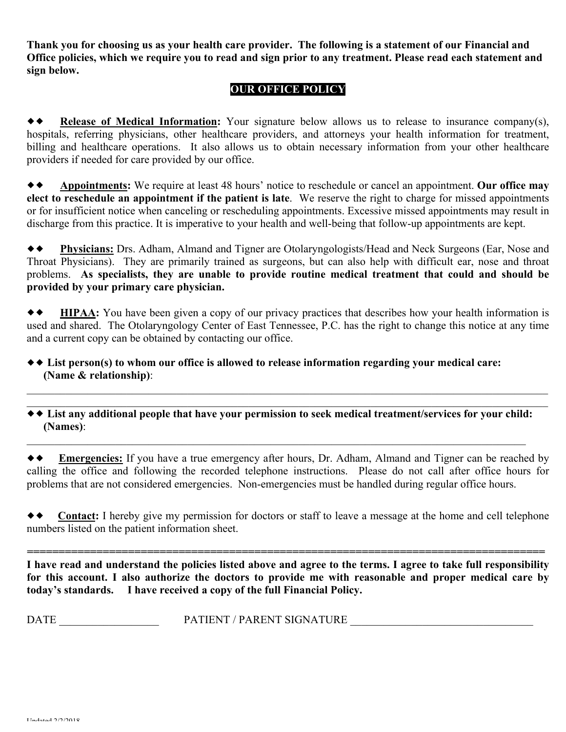**Thank you for choosing us as your health care provider. The following is a statement of our Financial and Office policies, which we require you to read and sign prior to any treatment. Please read each statement and sign below.**

## **OUR OFFICE POLICY**

!! **Release of Medical Information:** Your signature below allows us to release to insurance company(s), hospitals, referring physicians, other healthcare providers, and attorneys your health information for treatment, billing and healthcare operations. It also allows us to obtain necessary information from your other healthcare providers if needed for care provided by our office.

!! **Appointments:** We require at least 48 hours' notice to reschedule or cancel an appointment. **Our office may elect to reschedule an appointment if the patient is late**. We reserve the right to charge for missed appointments or for insufficient notice when canceling or rescheduling appointments. Excessive missed appointments may result in discharge from this practice. It is imperative to your health and well-being that follow-up appointments are kept.

!! **Physicians:** Drs. Adham, Almand and Tigner are Otolaryngologists/Head and Neck Surgeons (Ear, Nose and Throat Physicians). They are primarily trained as surgeons, but can also help with difficult ear, nose and throat problems. **As specialists, they are unable to provide routine medical treatment that could and should be provided by your primary care physician.**

!! **HIPAA:** You have been given a copy of our privacy practices that describes how your health information is used and shared. The Otolaryngology Center of East Tennessee, P.C. has the right to change this notice at any time and a current copy can be obtained by contacting our office.

## !! **List person(s) to whom our office is allowed to release information regarding your medical care: (Name & relationship)**:

\_\_\_\_\_\_\_\_\_\_\_\_\_\_\_\_\_\_\_\_\_\_\_\_\_\_\_\_\_\_\_\_\_\_\_\_\_\_\_\_\_\_\_\_\_\_\_\_\_\_\_\_\_\_\_\_\_\_\_\_\_\_\_\_\_\_\_\_\_\_\_\_\_\_\_\_\_\_\_\_\_\_\_\_\_\_\_\_\_\_\_\_\_\_ !! **List any additional people that have your permission to seek medical treatment/services for your child: (Names)**:

 $\_$  , and the contribution of the contribution of the contribution of the contribution of the contribution of  $\mathcal{L}_\text{max}$ 

\_\_\_\_\_\_\_\_\_\_\_\_\_\_\_\_\_\_\_\_\_\_\_\_\_\_\_\_\_\_\_\_\_\_\_\_\_\_\_\_\_\_\_\_\_\_\_\_\_\_\_\_\_\_\_\_\_\_\_\_\_\_\_\_\_\_\_\_\_\_\_\_\_\_\_\_\_\_\_\_\_\_\_\_\_\_\_\_\_\_\_\_\_\_

!! **Emergencies:** If you have a true emergency after hours, Dr. Adham, Almand and Tigner can be reached by calling the office and following the recorded telephone instructions. Please do not call after office hours for problems that are not considered emergencies. Non-emergencies must be handled during regular office hours.

 $\rightarrow$  **Contact:** I hereby give my permission for doctors or staff to leave a message at the home and cell telephone numbers listed on the patient information sheet.

*==================================================================================*

**I have read and understand the policies listed above and agree to the terms. I agree to take full responsibility for this account. I also authorize the doctors to provide me with reasonable and proper medical care by today's standards. I have received a copy of the full Financial Policy.**

DATE \_\_\_\_\_\_\_\_\_\_\_\_\_\_\_\_\_\_ PATIENT / PARENT SIGNATURE \_\_\_\_\_\_\_\_\_\_\_\_\_\_\_\_\_\_\_\_\_\_\_\_\_\_\_\_\_\_\_\_\_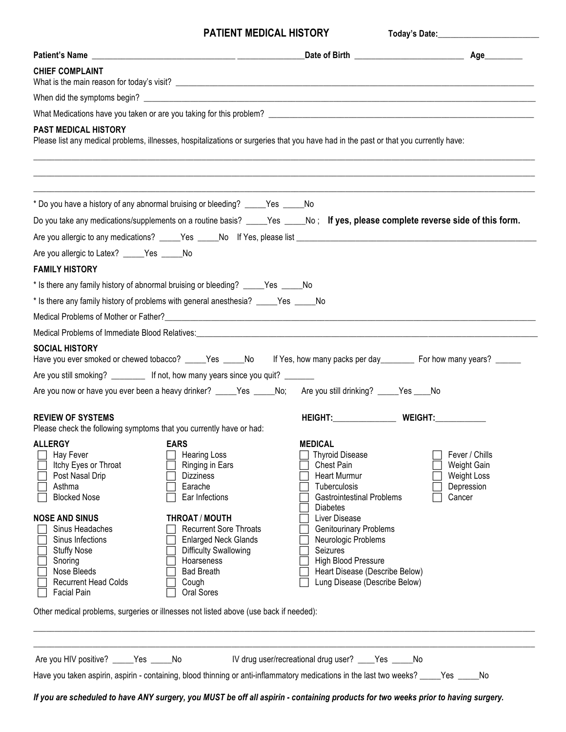## **PATIENT MEDICAL HISTORY** Teday's Definition

| Please list any medical problems, illnesses, hospitalizations or surgeries that you have had in the past or that you currently have:                                                                                                                                                                                                                                                                                      |
|---------------------------------------------------------------------------------------------------------------------------------------------------------------------------------------------------------------------------------------------------------------------------------------------------------------------------------------------------------------------------------------------------------------------------|
| * Do you have a history of any abnormal bruising or bleeding? _____Yes _____No                                                                                                                                                                                                                                                                                                                                            |
| Do you take any medications/supplements on a routine basis? _____Yes _____No; If yes, please complete reverse side of this form.                                                                                                                                                                                                                                                                                          |
|                                                                                                                                                                                                                                                                                                                                                                                                                           |
|                                                                                                                                                                                                                                                                                                                                                                                                                           |
|                                                                                                                                                                                                                                                                                                                                                                                                                           |
| * Is there any family history of abnormal bruising or bleeding? _____Yes _____No                                                                                                                                                                                                                                                                                                                                          |
| * Is there any family history of problems with general anesthesia? ____Yes ____No                                                                                                                                                                                                                                                                                                                                         |
|                                                                                                                                                                                                                                                                                                                                                                                                                           |
| Medical Problems of Immediate Blood Relatives:<br>Medical Problems of Immediate Blood Relatives:                                                                                                                                                                                                                                                                                                                          |
| Have you ever smoked or chewed tobacco? _____Yes _____No lf Yes, how many packs per day________ For how many years? ______<br>Are you still smoking? _________ If not, how many years since you quit? _______<br>Are you now or have you ever been a heavy drinker? _____Yes _____No; Are you still drinking? _____Yes ____No                                                                                             |
|                                                                                                                                                                                                                                                                                                                                                                                                                           |
| <b>MEDICAL</b><br>Fever / Chills<br><b>Thyroid Disease</b><br>Chest Pain<br>Weight Gain<br><b>Heart Murmur</b><br><b>Weight Loss</b><br>Tuberculosis<br>Depression<br>Cancer<br><b>Gastrointestinal Problems</b><br><b>Diabetes</b><br>Liver Disease<br><b>Genitourinary Problems</b><br>Neurologic Problems<br>Seizures<br><b>High Blood Pressure</b><br>Heart Disease (Describe Below)<br>Lung Disease (Describe Below) |
| Other medical problems, surgeries or illnesses not listed above (use back if needed):                                                                                                                                                                                                                                                                                                                                     |
|                                                                                                                                                                                                                                                                                                                                                                                                                           |

*If you are scheduled to have ANY surgery, you MUST be off all aspirin - containing products for two weeks prior to having surgery.*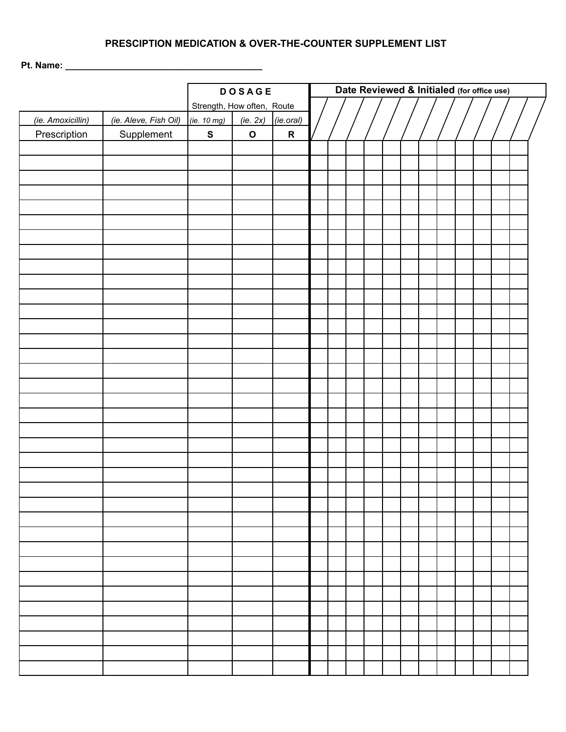## **PRESCIPTION MEDICATION & OVER-THE-COUNTER SUPPLEMENT LIST**

**Pt. Name: \_\_\_\_\_\_\_\_\_\_\_\_\_\_\_\_\_\_\_\_\_\_\_\_\_\_\_\_\_\_\_\_\_\_\_\_\_\_\_**

|                   |                            | <b>DOSAGE</b> |             |           | Date Reviewed & Initialed (for office use) |  |  |  |  |  |  |  |  |  |  |  |  |
|-------------------|----------------------------|---------------|-------------|-----------|--------------------------------------------|--|--|--|--|--|--|--|--|--|--|--|--|
|                   | Strength, How often, Route |               |             |           |                                            |  |  |  |  |  |  |  |  |  |  |  |  |
| (ie. Amoxicillin) | (ie. Aleve, Fish Oil)      | (ie. 10 mg)   | (ie. 2x)    | (ie.oral) |                                            |  |  |  |  |  |  |  |  |  |  |  |  |
| Prescription      | Supplement                 | ${\mathsf S}$ | $\mathbf O$ | ${\sf R}$ |                                            |  |  |  |  |  |  |  |  |  |  |  |  |
|                   |                            |               |             |           |                                            |  |  |  |  |  |  |  |  |  |  |  |  |
|                   |                            |               |             |           |                                            |  |  |  |  |  |  |  |  |  |  |  |  |
|                   |                            |               |             |           |                                            |  |  |  |  |  |  |  |  |  |  |  |  |
|                   |                            |               |             |           |                                            |  |  |  |  |  |  |  |  |  |  |  |  |
|                   |                            |               |             |           |                                            |  |  |  |  |  |  |  |  |  |  |  |  |
|                   |                            |               |             |           |                                            |  |  |  |  |  |  |  |  |  |  |  |  |
|                   |                            |               |             |           |                                            |  |  |  |  |  |  |  |  |  |  |  |  |
|                   |                            |               |             |           |                                            |  |  |  |  |  |  |  |  |  |  |  |  |
|                   |                            |               |             |           |                                            |  |  |  |  |  |  |  |  |  |  |  |  |
|                   |                            |               |             |           |                                            |  |  |  |  |  |  |  |  |  |  |  |  |
|                   |                            |               |             |           |                                            |  |  |  |  |  |  |  |  |  |  |  |  |
|                   |                            |               |             |           |                                            |  |  |  |  |  |  |  |  |  |  |  |  |
|                   |                            |               |             |           |                                            |  |  |  |  |  |  |  |  |  |  |  |  |
|                   |                            |               |             |           |                                            |  |  |  |  |  |  |  |  |  |  |  |  |
|                   |                            |               |             |           |                                            |  |  |  |  |  |  |  |  |  |  |  |  |
|                   |                            |               |             |           |                                            |  |  |  |  |  |  |  |  |  |  |  |  |
|                   |                            |               |             |           |                                            |  |  |  |  |  |  |  |  |  |  |  |  |
|                   |                            |               |             |           |                                            |  |  |  |  |  |  |  |  |  |  |  |  |
|                   |                            |               |             |           |                                            |  |  |  |  |  |  |  |  |  |  |  |  |
|                   |                            |               |             |           |                                            |  |  |  |  |  |  |  |  |  |  |  |  |
|                   |                            |               |             |           |                                            |  |  |  |  |  |  |  |  |  |  |  |  |
|                   |                            |               |             |           |                                            |  |  |  |  |  |  |  |  |  |  |  |  |
|                   |                            |               |             |           |                                            |  |  |  |  |  |  |  |  |  |  |  |  |
|                   |                            |               |             |           |                                            |  |  |  |  |  |  |  |  |  |  |  |  |
|                   |                            |               |             |           |                                            |  |  |  |  |  |  |  |  |  |  |  |  |
|                   |                            |               |             |           |                                            |  |  |  |  |  |  |  |  |  |  |  |  |
|                   |                            |               |             |           |                                            |  |  |  |  |  |  |  |  |  |  |  |  |
|                   |                            |               |             |           |                                            |  |  |  |  |  |  |  |  |  |  |  |  |
|                   |                            |               |             |           |                                            |  |  |  |  |  |  |  |  |  |  |  |  |
|                   |                            |               |             |           |                                            |  |  |  |  |  |  |  |  |  |  |  |  |
|                   |                            |               |             |           |                                            |  |  |  |  |  |  |  |  |  |  |  |  |
|                   |                            |               |             |           |                                            |  |  |  |  |  |  |  |  |  |  |  |  |
|                   |                            |               |             |           |                                            |  |  |  |  |  |  |  |  |  |  |  |  |
|                   |                            |               |             |           |                                            |  |  |  |  |  |  |  |  |  |  |  |  |
|                   |                            |               |             |           |                                            |  |  |  |  |  |  |  |  |  |  |  |  |
|                   |                            |               |             |           |                                            |  |  |  |  |  |  |  |  |  |  |  |  |
|                   |                            |               |             |           |                                            |  |  |  |  |  |  |  |  |  |  |  |  |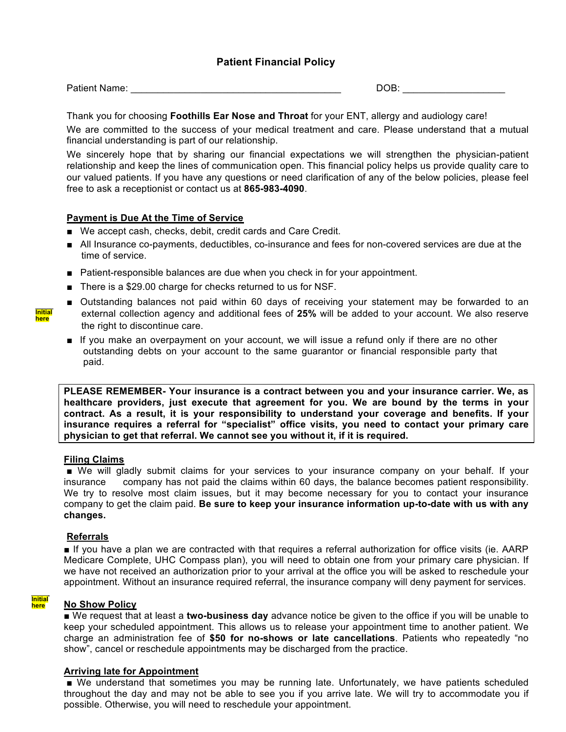### **Patient Financial Policy**

Patient Name: \_\_\_\_\_\_\_\_\_\_\_\_\_\_\_\_\_\_\_\_\_\_\_\_\_\_\_\_\_\_\_\_\_\_\_\_\_\_\_ DOB: \_\_\_\_\_\_\_\_\_\_\_\_\_\_\_\_\_\_\_

Thank you for choosing **Foothills Ear Nose and Throat** for your ENT, allergy and audiology care!

We are committed to the success of your medical treatment and care. Please understand that a mutual financial understanding is part of our relationship.

We sincerely hope that by sharing our financial expectations we will strengthen the physician-patient relationship and keep the lines of communication open. This financial policy helps us provide quality care to our valued patients. If you have any questions or need clarification of any of the below policies, please feel free to ask a receptionist or contact us at **865-983-4090**.

### **Payment is Due At the Time of Service**

- We accept cash, checks, debit, credit cards and Care Credit.
- All Insurance co-payments, deductibles, co-insurance and fees for non-covered services are due at the time of service.
- Patient-responsible balances are due when you check in for your appointment.
- There is a \$29.00 charge for checks returned to us for NSF.
- Outstanding balances not paid within 60 days of receiving your statement may be forwarded to an external collection agency and additional fees of **25%** will be added to your account. We also reserve the right to discontinue care.
- If you make an overpayment on your account, we will issue a refund only if there are no other outstanding debts on your account to the same guarantor or financial responsible party that paid.

**PLEASE REMEMBER- Your insurance is a contract between you and your insurance carrier. We, as healthcare providers, just execute that agreement for you. We are bound by the terms in your contract. As a result, it is your responsibility to understand your coverage and benefits. If your insurance requires a referral for "specialist" office visits, you need to contact your primary care physician to get that referral. We cannot see you without it, if it is required.**

### **Filing Claims**

■ We will gladly submit claims for your services to your insurance company on your behalf. If your insurance company has not paid the claims within 60 days, the balance becomes patient responsibility. We try to resolve most claim issues, but it may become necessary for you to contact your insurance company to get the claim paid. **Be sure to keep your insurance information up-to-date with us with any changes.**

### **Referrals**

■ If you have a plan we are contracted with that requires a referral authorization for office visits (ie. AARP Medicare Complete, UHC Compass plan), you will need to obtain one from your primary care physician. If we have not received an authorization prior to your arrival at the office you will be asked to reschedule your appointment. Without an insurance required referral, the insurance company will deny payment for services.

#### **\_\_\_\_\_ Initial here**

### **No Show Policy**

■ We request that at least a **two-business day** advance notice be given to the office if you will be unable to keep your scheduled appointment. This allows us to release your appointment time to another patient. We charge an administration fee of **\$50 for no-shows or late cancellations**. Patients who repeatedly "no show", cancel or reschedule appointments may be discharged from the practice.

### **Arriving late for Appointment**

■ We understand that sometimes you may be running late. Unfortunately, we have patients scheduled throughout the day and may not be able to see you if you arrive late. We will try to accommodate you if possible. Otherwise, you will need to reschedule your appointment.

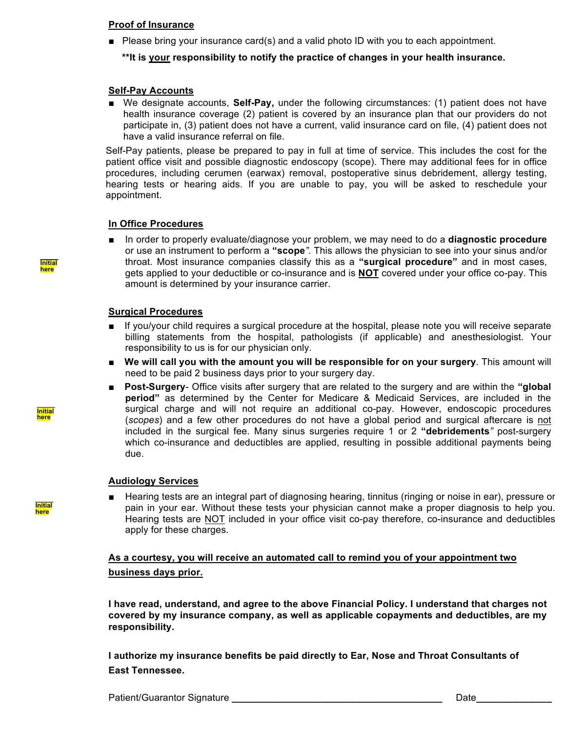#### **Proof of Insurance**

Please bring your insurance card(s) and a valid photo ID with you to each appointment.

#### **\*\*It is your responsibility to notify the practice of changes in your health insurance.**

#### **Self-Pay Accounts**

■ We designate accounts, **Self-Pay**, under the following circumstances: (1) patient does not have health insurance coverage (2) patient is covered by an insurance plan that our providers do not participate in, (3) patient does not have a current, valid insurance card on file, (4) patient does not have a valid insurance referral on file.

Self-Pay patients, please be prepared to pay in full at time of service. This includes the cost for the patient office visit and possible diagnostic endoscopy (scope). There may additional fees for in office procedures, including cerumen (earwax) removal, postoperative sinus debridement, allergy testing, hearing tests or hearing aids. If you are unable to pay, you will be asked to reschedule your appointment.

#### **In Office Procedures**

■ In order to properly evaluate/diagnose your problem, we may need to do a **diagnostic procedure** or use an instrument to perform a **"scope***"*. This allows the physician to see into your sinus and/or throat. Most insurance companies classify this as a **"surgical procedure"** and in most cases, gets applied to your deductible or co-insurance and is **NOT** covered under your office co-pay. This amount is determined by your insurance carrier.

#### **Surgical Procedures**

- If you/your child requires a surgical procedure at the hospital, please note you will receive separate billing statements from the hospital, pathologists (if applicable) and anesthesiologist. Your responsibility to us is for our physician only.
- We will call you with the amount you will be responsible for on your surgery. This amount will need to be paid 2 business days prior to your surgery day.
- **Post-Surgery-** Office visits after surgery that are related to the surgery and are within the "global **period"** as determined by the Center for Medicare & Medicaid Services, are included in the surgical charge and will not require an additional co-pay. However, endoscopic procedures (*scopes*) and a few other procedures do not have a global period and surgical aftercare is not included in the surgical fee. Many sinus surgeries require 1 or 2 **"debridements***"* post-surgery which co-insurance and deductibles are applied, resulting in possible additional payments being due.

#### **Audiology Services**

Hearing tests are an integral part of diagnosing hearing, tinnitus (ringing or noise in ear), pressure or pain in your ear. Without these tests your physician cannot make a proper diagnosis to help you. Hearing tests are NOT included in your office visit co-pay therefore, co-insurance and deductibles apply for these charges.

### **As a courtesy, you will receive an automated call to remind you of your appointment two business days prior.**

**\_\_\_\_\_ responsibility. I have read, understand, and agree to the above Financial Policy. I understand that charges not covered by my insurance company, as well as applicable copayments and deductibles, are my** 

**I authorize my insurance benefits be paid directly to Ear, Nose and Throat Consultants of East Tennessee.**

**\_\_\_\_\_ Initial here**



**\_\_\_\_\_ Initial here**